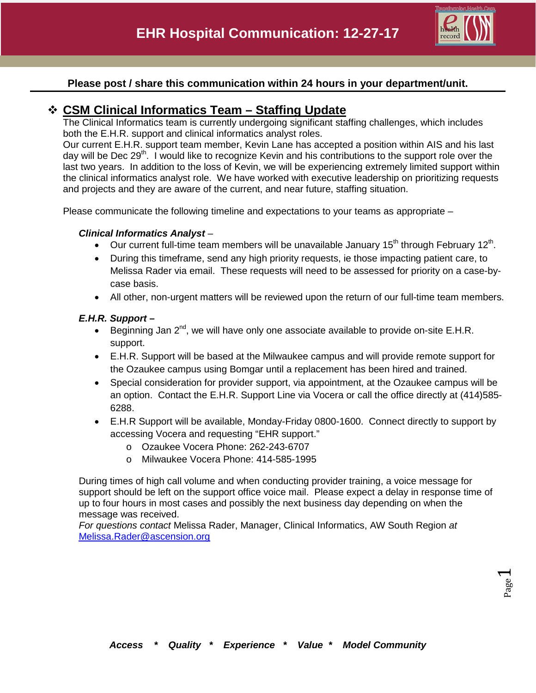

### **Please post / share this communication within 24 hours in your department/unit.**

### **CSM Clinical Informatics Team – Staffing Update**

The Clinical Informatics team is currently undergoing significant staffing challenges, which includes both the E.H.R. support and clinical informatics analyst roles.

Our current E.H.R. support team member, Kevin Lane has accepted a position within AIS and his last day will be Dec 29<sup>th</sup>. I would like to recognize Kevin and his contributions to the support role over the last two years. In addition to the loss of Kevin, we will be experiencing extremely limited support within the clinical informatics analyst role. We have worked with executive leadership on prioritizing requests and projects and they are aware of the current, and near future, staffing situation.

Please communicate the following timeline and expectations to your teams as appropriate –

### *Clinical Informatics Analyst* –

- Our current full-time team members will be unavailable January 15<sup>th</sup> through February 12<sup>th</sup>.
- During this timeframe, send any high priority requests, ie those impacting patient care, to Melissa Rader via email. These requests will need to be assessed for priority on a case-bycase basis.
- All other, non-urgent matters will be reviewed upon the return of our full-time team members.

### *E.H.R. Support –*

- Beginning Jan  $2^{nd}$ , we will have only one associate available to provide on-site E.H.R. support.
- E.H.R. Support will be based at the Milwaukee campus and will provide remote support for the Ozaukee campus using Bomgar until a replacement has been hired and trained.
- Special consideration for provider support, via appointment, at the Ozaukee campus will be an option. Contact the E.H.R. Support Line via Vocera or call the office directly at (414)585- 6288.
- E.H.R Support will be available, Monday-Friday 0800-1600. Connect directly to support by accessing Vocera and requesting "EHR support."
	- o Ozaukee Vocera Phone: 262-243-6707
	- o Milwaukee Vocera Phone: 414-585-1995

During times of high call volume and when conducting provider training, a voice message for support should be left on the support office voice mail. Please expect a delay in response time of up to four hours in most cases and possibly the next business day depending on when the message was received.

*For questions contact* Melissa Rader, Manager, Clinical Informatics, AW South Region *at*  [Melissa.Rader@ascension.org](mailto:Melissa.Rader@ascension.org)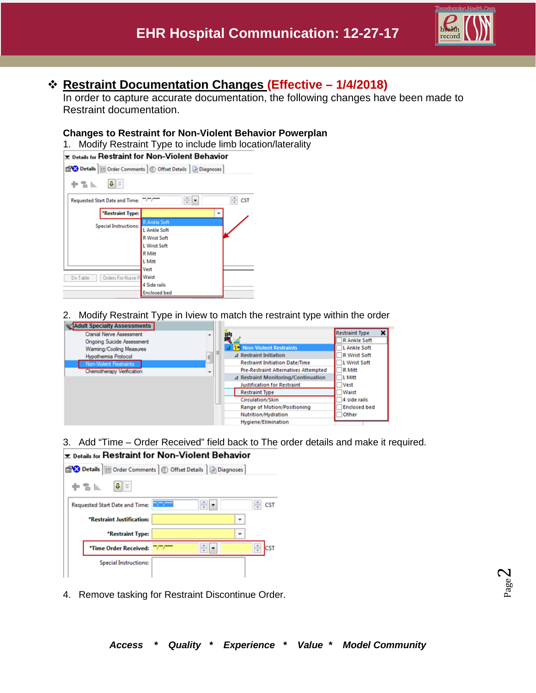

## **Restraint Documentation Changes (Effective – 1/4/2018)**

In order to capture accurate documentation, the following changes have been made to Restraint documentation.

### **Changes to Restraint for Non-Violent Behavior Powerplan**

1. Modify Restraint Type to include limb location/laterality



2. Modify Restraint Type in Iview to match the restraint type within the order



3. Add "Time – Order Received" field back to The order details and make it required.

### **Exable 15 Feedman** for Non-Violent Behavior



4. Remove tasking for Restraint Discontinue Order.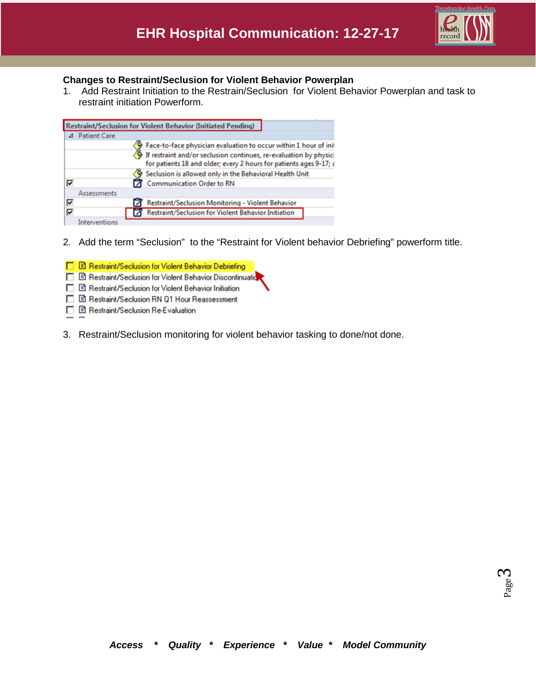

### **Changes to Restraint/Seclusion for Violent Behavior Powerplan**

1. Add Restraint Initiation to the Restrain/Seclusion for Violent Behavior Powerplan and task to restraint initiation Powerform.

| <b>Restraint/Seclusion for Violent Behavior (Initiated Pending)</b> |                     |                                                                                                                                         |  |  |  |  |  |  |
|---------------------------------------------------------------------|---------------------|-----------------------------------------------------------------------------------------------------------------------------------------|--|--|--|--|--|--|
|                                                                     |                     |                                                                                                                                         |  |  |  |  |  |  |
|                                                                     | <b>Patient Care</b> |                                                                                                                                         |  |  |  |  |  |  |
|                                                                     |                     | Face-to-face physician evaluation to occur within 1 hour of init                                                                        |  |  |  |  |  |  |
|                                                                     |                     | If restraint and/or seclusion continues, re-evaluation by physici<br>for patients 18 and older; every 2 hours for patients ages 9-17; a |  |  |  |  |  |  |
|                                                                     |                     | Seclusion is allowed only in the Behavioral Health Unit                                                                                 |  |  |  |  |  |  |
| ⊽                                                                   |                     | Communication Order to RN                                                                                                               |  |  |  |  |  |  |
|                                                                     | Assessments         |                                                                                                                                         |  |  |  |  |  |  |
| ⊽                                                                   |                     | Restraint/Seclusion Monitoring - Violent Behavior                                                                                       |  |  |  |  |  |  |
| ⊽                                                                   |                     | Restraint/Seclusion for Violent Behavior Initiation                                                                                     |  |  |  |  |  |  |
|                                                                     | Interventions       |                                                                                                                                         |  |  |  |  |  |  |

2. Add the term "Seclusion" to the "Restraint for Violent behavior Debriefing" powerform title.

|  | □ B Restraint/Seclusion for Violent Behavior Debriefing  |
|--|----------------------------------------------------------|
|  | Restraint/Seclusion for Violent Behavior Discontinuation |
|  | □ B Restraint/Seclusion for Violent Behavior Initiation  |
|  | □ B Restraint/Seclusion RN Q1 Hour Reassessment          |
|  | □ B Restraint/Seclusion Re-Evaluation                    |
|  |                                                          |

3. Restraint/Seclusion monitoring for violent behavior tasking to done/not done.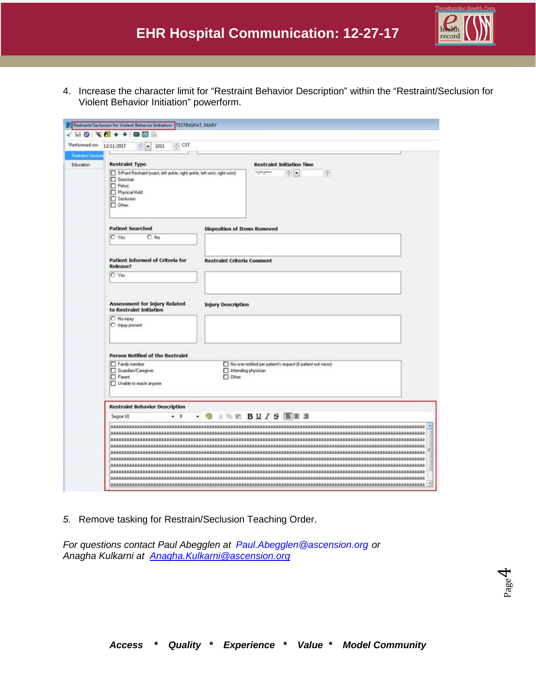

4. Increase the character limit for "Restraint Behavior Description" within the "Restraint/Seclusion for Violent Behavior Initiation" powerform.

|                             | <b>△ 田 〇 文 6 4 4 日田</b>                                                                                                                                  |                                     |                                                                                     |  |  |  |
|-----------------------------|----------------------------------------------------------------------------------------------------------------------------------------------------------|-------------------------------------|-------------------------------------------------------------------------------------|--|--|--|
|                             | *Performed on: 12/11/2017<br>: CST<br>1011<br>$-1$                                                                                                       |                                     |                                                                                     |  |  |  |
| Restrart/Secks<br>Education | <b>Restraint Type</b>                                                                                                                                    |                                     | <b>Restraint Initiation Time</b>                                                    |  |  |  |
|                             | 5-Point Restraint (waist, left ankle, right ankle, left wrist, right wrist)<br>Gerichair<br><b>Pelvic</b><br>Phytical Hold<br>Seclusion<br>$\Box$ Other: |                                     | 中国<br>os por posos<br>품                                                             |  |  |  |
|                             | <b>Patient Searched</b>                                                                                                                                  | <b>Disposition of Items Removed</b> |                                                                                     |  |  |  |
|                             | C Yes<br>$O$ No                                                                                                                                          |                                     |                                                                                     |  |  |  |
|                             | <b>Patient Informed of Criteria for</b><br>Release?                                                                                                      | <b>Restraint Criteria Comment</b>   |                                                                                     |  |  |  |
|                             | C Yes                                                                                                                                                    |                                     |                                                                                     |  |  |  |
|                             | <b>Assessment for Injury Related</b><br>to Restraint Initiation                                                                                          | <b>Injury Description</b>           |                                                                                     |  |  |  |
|                             | O No reay<br>C Injury present                                                                                                                            |                                     |                                                                                     |  |  |  |
|                             | <b>Person Notified of the Restraint</b>                                                                                                                  |                                     |                                                                                     |  |  |  |
|                             | Family member<br><b>C</b> Guardian/Caregiver<br>Parent<br>Unable to reach anyone                                                                         | $\Box$ Other:                       | No one notified per patient's request (if patient not minor)<br>Attending physician |  |  |  |
|                             | <b>Restraint Behavior Description</b>                                                                                                                    |                                     |                                                                                     |  |  |  |
|                             | <b>O ARE BUISEEE</b><br>$-9$<br>Segoe UI                                                                                                                 |                                     |                                                                                     |  |  |  |

*5.* Remove tasking for Restrain/Seclusion Teaching Order.

*For questions contact Paul Abegglen at [Paul.Abegglen@ascension.org](mailto:Paul.Abegglen@ascension.org) or Anagha Kulkarni at [Anagha.Kulkarni@ascension.org](mailto:Anagha.Kulkarni@ascension.org)*